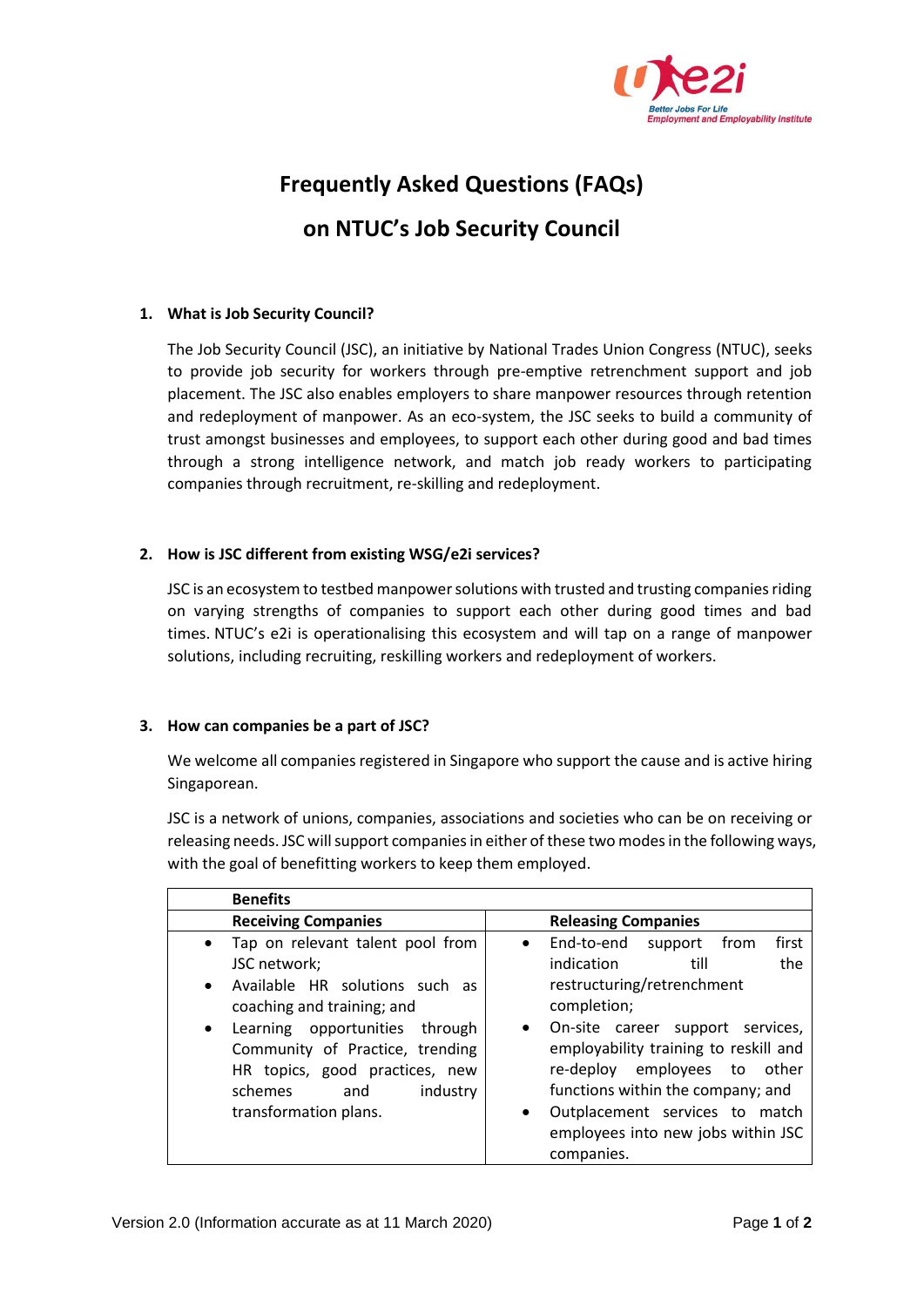

# **Frequently Asked Questions (FAQs)**

## **on NTUC's Job Security Council**

## **1. What is Job Security Council?**

The Job Security Council (JSC), an initiative by National Trades Union Congress (NTUC), seeks to provide job security for workers through pre-emptive retrenchment support and job placement. The JSC also enables employers to share manpower resources through retention and redeployment of manpower. As an eco-system, the JSC seeks to build a community of trust amongst businesses and employees, to support each other during good and bad times through a strong intelligence network, and match job ready workers to participating companies through recruitment, re-skilling and redeployment.

## **2. How is JSC different from existing WSG/e2i services?**

JSC is an ecosystem to testbed manpower solutions with trusted and trusting companies riding on varying strengths of companies to support each other during good times and bad times. NTUC's e2i is operationalising this ecosystem and will tap on a range of manpower solutions, including recruiting, reskilling workers and redeployment of workers.

## **3. How can companies be a part of JSC?**

We welcome all companies registered in Singapore who support the cause and is active hiring Singaporean.

JSC is a network of unions, companies, associations and societies who can be on receiving or releasing needs. JSC will support companies in either of these two modes in the following ways, with the goal of benefitting workers to keep them employed.

| <b>Benefits</b>                                                                                                                                                                                                                                                                                                       |                                                                                                                                                                                                                                                                                                                                                                                                 |
|-----------------------------------------------------------------------------------------------------------------------------------------------------------------------------------------------------------------------------------------------------------------------------------------------------------------------|-------------------------------------------------------------------------------------------------------------------------------------------------------------------------------------------------------------------------------------------------------------------------------------------------------------------------------------------------------------------------------------------------|
| <b>Receiving Companies</b>                                                                                                                                                                                                                                                                                            | <b>Releasing Companies</b>                                                                                                                                                                                                                                                                                                                                                                      |
| Tap on relevant talent pool from<br>$\bullet$<br>JSC network;<br>Available HR solutions such as<br>$\bullet$<br>coaching and training; and<br>Learning opportunities through<br>$\bullet$<br>Community of Practice, trending<br>HR topics, good practices, new<br>industry<br>schemes<br>and<br>transformation plans. | first<br>End-to-end<br>from<br>support<br>$\bullet$<br>indication<br>the<br>till<br>restructuring/retrenchment<br>completion;<br>On-site career support services,<br>$\bullet$<br>employability training to reskill and<br>re-deploy employees to other<br>functions within the company; and<br>Outplacement services to match<br>$\bullet$<br>employees into new jobs within JSC<br>companies. |